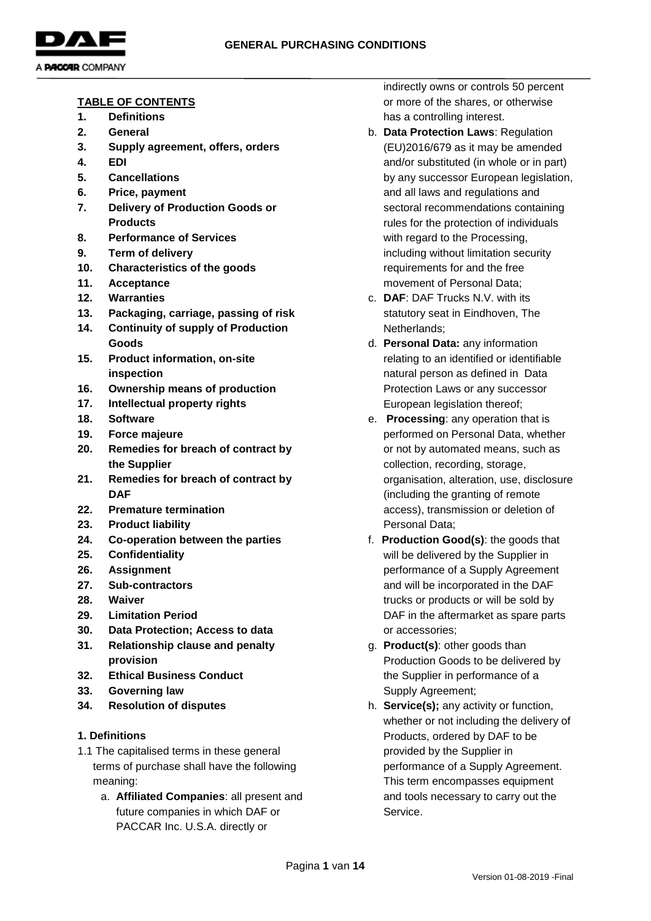

#### **TABLE OF CONTENTS**

- **1. Definitions**
- **2. General**
- **3. Supply agreement, offers, orders**
- **4. EDI**
- **5. Cancellations**
- **6. Price, payment**
- **7. Delivery of Production Goods or Products**
- **8. Performance of Services**
- **9. Term of delivery**
- **10. Characteristics of the goods**
- **11. Acceptance**
- **12. Warranties**
- **13. Packaging, carriage, passing of risk**
- **14. Continuity of supply of Production Goods**
- **15. Product information, on-site inspection**
- **16. Ownership means of production**
- **17. Intellectual property rights**
- **18. Software**
- **19. Force majeure**
- **20. Remedies for breach of contract by the Supplier**
- **21. Remedies for breach of contract by DAF**
- **22. Premature termination**
- **23. Product liability**
- **24. Co-operation between the parties**
- **25. Confidentiality**
- **26. Assignment**
- **27. Sub-contractors**
- **28. Waiver**
- **29. Limitation Period**
- **30. Data Protection; Access to data**
- **31. Relationship clause and penalty provision**
- **32. Ethical Business Conduct**
- **33. Governing law**
- **34. Resolution of disputes**

### **1. Definitions**

- 1.1 The capitalised terms in these general terms of purchase shall have the following meaning:
	- a. **Affiliated Companies**: all present and future companies in which DAF or PACCAR Inc. U.S.A. directly or

indirectly owns or controls 50 percent or more of the shares, or otherwise has a controlling interest.

- b. **Data Protection Laws**: Regulation (EU)2016/679 as it may be amended and/or substituted (in whole or in part) by any successor European legislation, and all laws and regulations and sectoral recommendations containing rules for the protection of individuals with regard to the Processing, including without limitation security requirements for and the free movement of Personal Data;
- c. **DAF**: DAF Trucks N.V. with its statutory seat in Eindhoven, The Netherlands;
- d. **Personal Data:** any information relating to an identified or identifiable natural person as defined in Data Protection Laws or any successor European legislation thereof;
- e. **Processing**: any operation that is performed on Personal Data, whether or not by automated means, such as collection, recording, storage, organisation, alteration, use, disclosure (including the granting of remote access), transmission or deletion of Personal Data;
- f. **Production Good(s)**: the goods that will be delivered by the Supplier in performance of a Supply Agreement and will be incorporated in the DAF trucks or products or will be sold by DAF in the aftermarket as spare parts or accessories;
- g. **Product(s)**: other goods than Production Goods to be delivered by the Supplier in performance of a Supply Agreement;
- h. **Service(s);** any activity or function, whether or not including the delivery of Products, ordered by DAF to be provided by the Supplier in performance of a Supply Agreement. This term encompasses equipment and tools necessary to carry out the Service.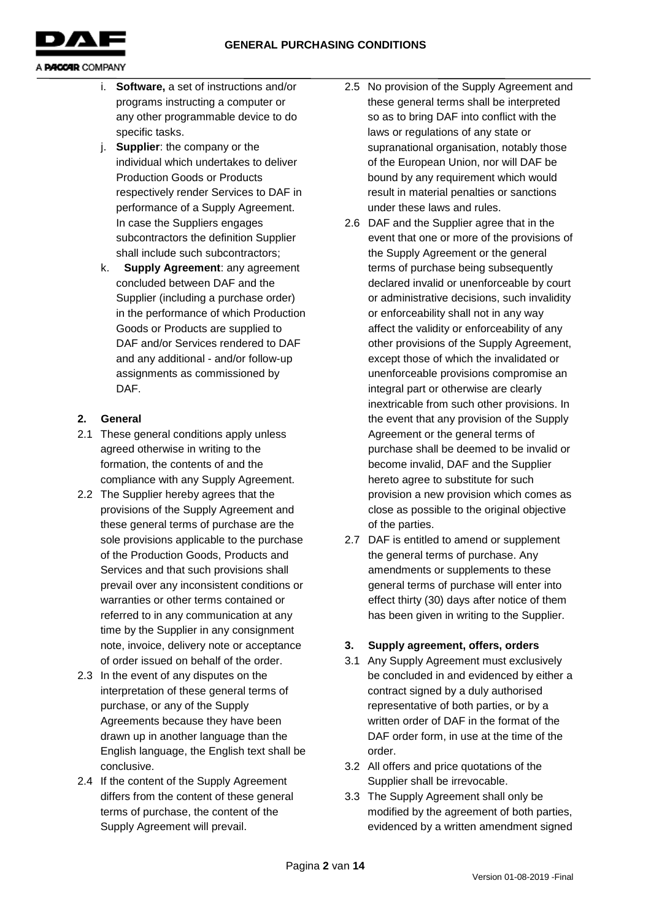

- i. **Software,** a set of instructions and/or programs instructing a computer or any other programmable device to do specific tasks.
- j. **Supplier**: the company or the individual which undertakes to deliver Production Goods or Products respectively render Services to DAF in performance of a Supply Agreement. In case the Suppliers engages subcontractors the definition Supplier shall include such subcontractors;
- k. **Supply Agreement**: any agreement concluded between DAF and the Supplier (including a purchase order) in the performance of which Production Goods or Products are supplied to DAF and/or Services rendered to DAF and any additional - and/or follow-up assignments as commissioned by DAF.

# **2. General**

- 2.1 These general conditions apply unless agreed otherwise in writing to the formation, the contents of and the compliance with any Supply Agreement.
- 2.2 The Supplier hereby agrees that the provisions of the Supply Agreement and these general terms of purchase are the sole provisions applicable to the purchase of the Production Goods, Products and Services and that such provisions shall prevail over any inconsistent conditions or warranties or other terms contained or referred to in any communication at any time by the Supplier in any consignment note, invoice, delivery note or acceptance of order issued on behalf of the order.
- 2.3 In the event of any disputes on the interpretation of these general terms of purchase, or any of the Supply Agreements because they have been drawn up in another language than the English language, the English text shall be conclusive.
- 2.4 If the content of the Supply Agreement differs from the content of these general terms of purchase, the content of the Supply Agreement will prevail.
- 2.5 No provision of the Supply Agreement and these general terms shall be interpreted so as to bring DAF into conflict with the laws or regulations of any state or supranational organisation, notably those of the European Union, nor will DAF be bound by any requirement which would result in material penalties or sanctions under these laws and rules.
- 2.6 DAF and the Supplier agree that in the event that one or more of the provisions of the Supply Agreement or the general terms of purchase being subsequently declared invalid or unenforceable by court or administrative decisions, such invalidity or enforceability shall not in any way affect the validity or enforceability of any other provisions of the Supply Agreement, except those of which the invalidated or unenforceable provisions compromise an integral part or otherwise are clearly inextricable from such other provisions. In the event that any provision of the Supply Agreement or the general terms of purchase shall be deemed to be invalid or become invalid, DAF and the Supplier hereto agree to substitute for such provision a new provision which comes as close as possible to the original objective of the parties.
- 2.7 DAF is entitled to amend or supplement the general terms of purchase. Any amendments or supplements to these general terms of purchase will enter into effect thirty (30) days after notice of them has been given in writing to the Supplier.

# **3. Supply agreement, offers, orders**

- 3.1 Any Supply Agreement must exclusively be concluded in and evidenced by either a contract signed by a duly authorised representative of both parties, or by a written order of DAF in the format of the DAF order form, in use at the time of the order.
- 3.2 All offers and price quotations of the Supplier shall be irrevocable.
- 3.3 The Supply Agreement shall only be modified by the agreement of both parties, evidenced by a written amendment signed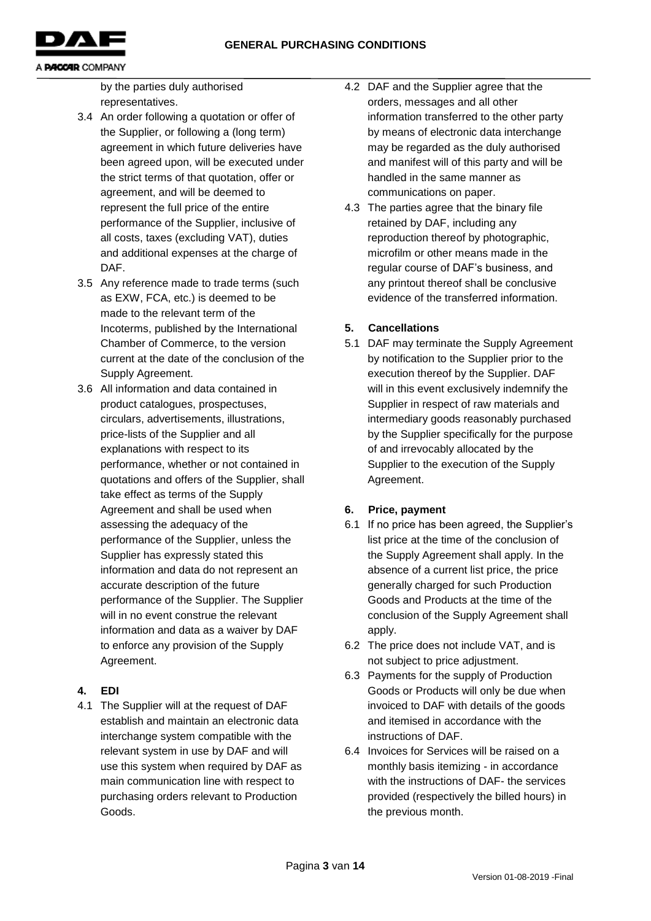

by the parties duly authorised representatives.

- 3.4 An order following a quotation or offer of the Supplier, or following a (long term) agreement in which future deliveries have been agreed upon, will be executed under the strict terms of that quotation, offer or agreement, and will be deemed to represent the full price of the entire performance of the Supplier, inclusive of all costs, taxes (excluding VAT), duties and additional expenses at the charge of DAF.
- 3.5 Any reference made to trade terms (such as EXW, FCA, etc.) is deemed to be made to the relevant term of the Incoterms, published by the International Chamber of Commerce, to the version current at the date of the conclusion of the Supply Agreement.
- 3.6 All information and data contained in product catalogues, prospectuses, circulars, advertisements, illustrations, price-lists of the Supplier and all explanations with respect to its performance, whether or not contained in quotations and offers of the Supplier, shall take effect as terms of the Supply Agreement and shall be used when assessing the adequacy of the performance of the Supplier, unless the Supplier has expressly stated this information and data do not represent an accurate description of the future performance of the Supplier. The Supplier will in no event construe the relevant information and data as a waiver by DAF to enforce any provision of the Supply Agreement.

# **4. EDI**

4.1 The Supplier will at the request of DAF establish and maintain an electronic data interchange system compatible with the relevant system in use by DAF and will use this system when required by DAF as main communication line with respect to purchasing orders relevant to Production Goods.

- 4.2 DAF and the Supplier agree that the orders, messages and all other information transferred to the other party by means of electronic data interchange may be regarded as the duly authorised and manifest will of this party and will be handled in the same manner as communications on paper.
- 4.3 The parties agree that the binary file retained by DAF, including any reproduction thereof by photographic, microfilm or other means made in the regular course of DAF's business, and any printout thereof shall be conclusive evidence of the transferred information.

# **5. Cancellations**

5.1 DAF may terminate the Supply Agreement by notification to the Supplier prior to the execution thereof by the Supplier. DAF will in this event exclusively indemnify the Supplier in respect of raw materials and intermediary goods reasonably purchased by the Supplier specifically for the purpose of and irrevocably allocated by the Supplier to the execution of the Supply Agreement.

# **6. Price, payment**

- 6.1 If no price has been agreed, the Supplier's list price at the time of the conclusion of the Supply Agreement shall apply. In the absence of a current list price, the price generally charged for such Production Goods and Products at the time of the conclusion of the Supply Agreement shall apply.
- 6.2 The price does not include VAT, and is not subject to price adjustment.
- 6.3 Payments for the supply of Production Goods or Products will only be due when invoiced to DAF with details of the goods and itemised in accordance with the instructions of DAF.
- 6.4 Invoices for Services will be raised on a monthly basis itemizing - in accordance with the instructions of DAF- the services provided (respectively the billed hours) in the previous month.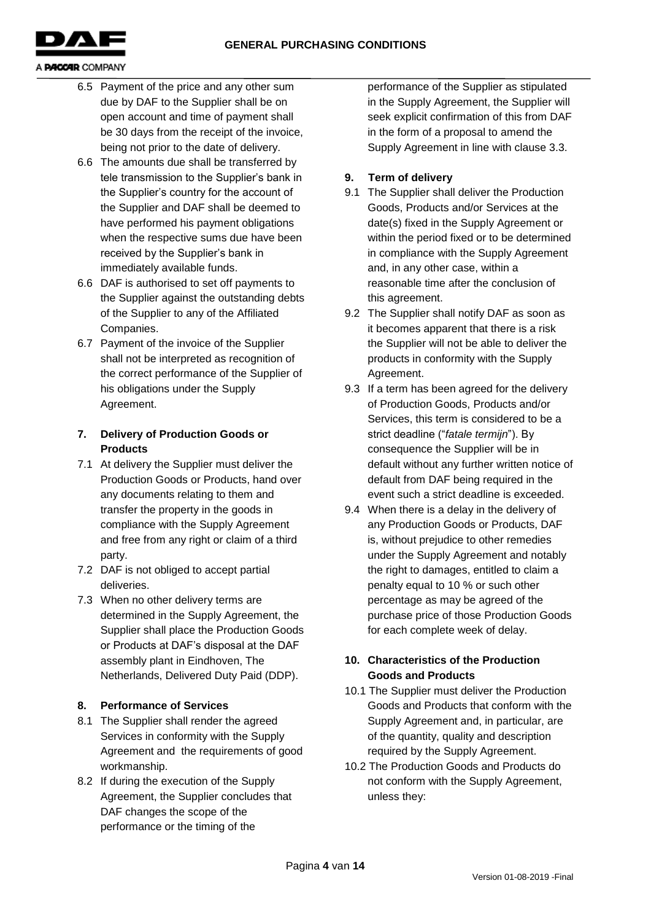

- 6.5 Payment of the price and any other sum due by DAF to the Supplier shall be on open account and time of payment shall be 30 days from the receipt of the invoice, being not prior to the date of delivery.
- 6.6 The amounts due shall be transferred by tele transmission to the Supplier's bank in the Supplier's country for the account of the Supplier and DAF shall be deemed to have performed his payment obligations when the respective sums due have been received by the Supplier's bank in immediately available funds.
- 6.6 DAF is authorised to set off payments to the Supplier against the outstanding debts of the Supplier to any of the Affiliated Companies.
- 6.7 Payment of the invoice of the Supplier shall not be interpreted as recognition of the correct performance of the Supplier of his obligations under the Supply Agreement.

# **7. Delivery of Production Goods or Products**

- 7.1 At delivery the Supplier must deliver the Production Goods or Products, hand over any documents relating to them and transfer the property in the goods in compliance with the Supply Agreement and free from any right or claim of a third party.
- 7.2 DAF is not obliged to accept partial deliveries.
- 7.3 When no other delivery terms are determined in the Supply Agreement, the Supplier shall place the Production Goods or Products at DAF's disposal at the DAF assembly plant in Eindhoven, The Netherlands, Delivered Duty Paid (DDP).

# **8. Performance of Services**

- 8.1 The Supplier shall render the agreed Services in conformity with the Supply Agreement and the requirements of good workmanship.
- 8.2 If during the execution of the Supply Agreement, the Supplier concludes that DAF changes the scope of the performance or the timing of the

performance of the Supplier as stipulated in the Supply Agreement, the Supplier will seek explicit confirmation of this from DAF in the form of a proposal to amend the Supply Agreement in line with clause 3.3.

# **9. Term of delivery**

- 9.1 The Supplier shall deliver the Production Goods, Products and/or Services at the date(s) fixed in the Supply Agreement or within the period fixed or to be determined in compliance with the Supply Agreement and, in any other case, within a reasonable time after the conclusion of this agreement.
- 9.2 The Supplier shall notify DAF as soon as it becomes apparent that there is a risk the Supplier will not be able to deliver the products in conformity with the Supply Agreement.
- 9.3 If a term has been agreed for the delivery of Production Goods, Products and/or Services, this term is considered to be a strict deadline ("*fatale termijn*"). By consequence the Supplier will be in default without any further written notice of default from DAF being required in the event such a strict deadline is exceeded.
- 9.4 When there is a delay in the delivery of any Production Goods or Products, DAF is, without prejudice to other remedies under the Supply Agreement and notably the right to damages, entitled to claim a penalty equal to 10 % or such other percentage as may be agreed of the purchase price of those Production Goods for each complete week of delay.

# **10. Characteristics of the Production Goods and Products**

- 10.1 The Supplier must deliver the Production Goods and Products that conform with the Supply Agreement and, in particular, are of the quantity, quality and description required by the Supply Agreement.
- 10.2 The Production Goods and Products do not conform with the Supply Agreement, unless they: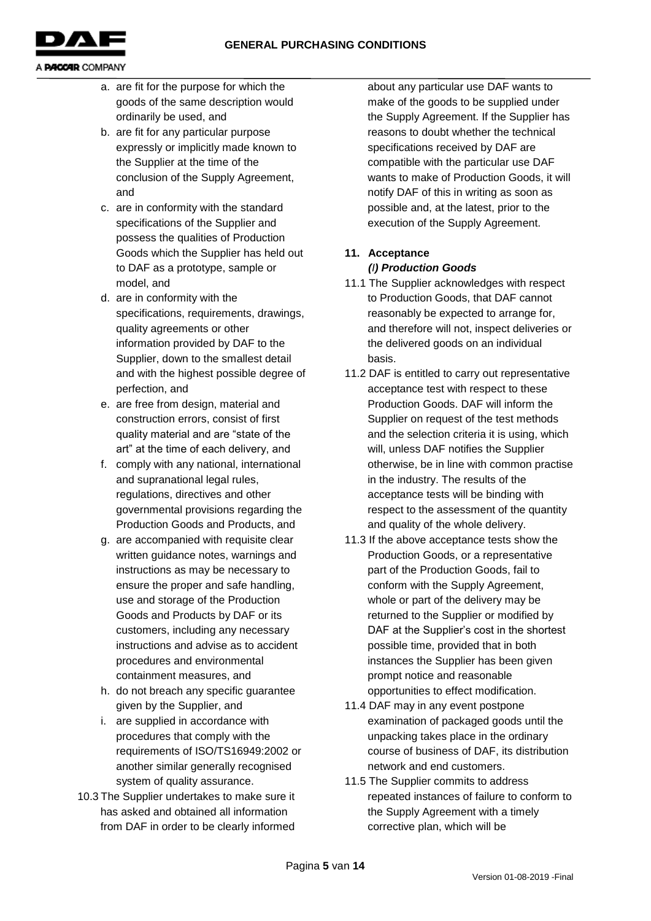

- a. are fit for the purpose for which the goods of the same description would ordinarily be used, and
- b. are fit for any particular purpose expressly or implicitly made known to the Supplier at the time of the conclusion of the Supply Agreement, and
- c. are in conformity with the standard specifications of the Supplier and possess the qualities of Production Goods which the Supplier has held out to DAF as a prototype, sample or model, and
- d. are in conformity with the specifications, requirements, drawings, quality agreements or other information provided by DAF to the Supplier, down to the smallest detail and with the highest possible degree of perfection, and
- e. are free from design, material and construction errors, consist of first quality material and are "state of the art" at the time of each delivery, and
- f. comply with any national, international and supranational legal rules, regulations, directives and other governmental provisions regarding the Production Goods and Products, and
- g. are accompanied with requisite clear written guidance notes, warnings and instructions as may be necessary to ensure the proper and safe handling, use and storage of the Production Goods and Products by DAF or its customers, including any necessary instructions and advise as to accident procedures and environmental containment measures, and
- h. do not breach any specific guarantee given by the Supplier, and
- i. are supplied in accordance with procedures that comply with the requirements of ISO/TS16949:2002 or another similar generally recognised system of quality assurance.
- 10.3 The Supplier undertakes to make sure it has asked and obtained all information from DAF in order to be clearly informed

about any particular use DAF wants to make of the goods to be supplied under the Supply Agreement. If the Supplier has reasons to doubt whether the technical specifications received by DAF are compatible with the particular use DAF wants to make of Production Goods, it will notify DAF of this in writing as soon as possible and, at the latest, prior to the execution of the Supply Agreement.

# **11. Acceptance**  *(I) Production Goods*

- 11.1 The Supplier acknowledges with respect to Production Goods, that DAF cannot reasonably be expected to arrange for, and therefore will not, inspect deliveries or the delivered goods on an individual basis.
- 11.2 DAF is entitled to carry out representative acceptance test with respect to these Production Goods. DAF will inform the Supplier on request of the test methods and the selection criteria it is using, which will, unless DAF notifies the Supplier otherwise, be in line with common practise in the industry. The results of the acceptance tests will be binding with respect to the assessment of the quantity and quality of the whole delivery.
- 11.3 If the above acceptance tests show the Production Goods, or a representative part of the Production Goods, fail to conform with the Supply Agreement, whole or part of the delivery may be returned to the Supplier or modified by DAF at the Supplier's cost in the shortest possible time, provided that in both instances the Supplier has been given prompt notice and reasonable opportunities to effect modification.
- 11.4 DAF may in any event postpone examination of packaged goods until the unpacking takes place in the ordinary course of business of DAF, its distribution network and end customers.
- 11.5 The Supplier commits to address repeated instances of failure to conform to the Supply Agreement with a timely corrective plan, which will be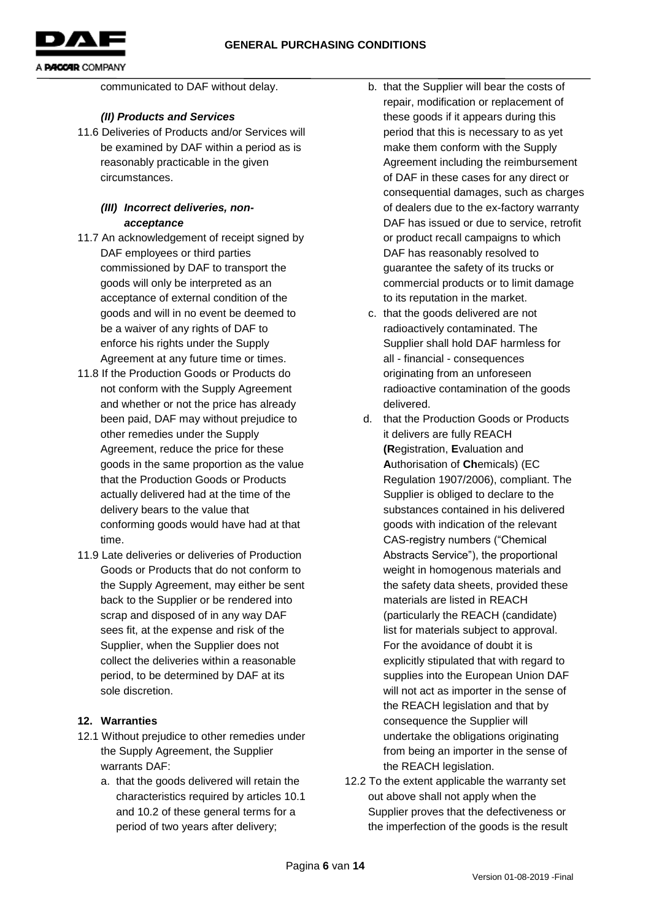

communicated to DAF without delay.

### *(II) Products and Services*

11.6 Deliveries of Products and/or Services will be examined by DAF within a period as is reasonably practicable in the given circumstances.

### *(III) Incorrect deliveries, nonacceptance*

- 11.7 An acknowledgement of receipt signed by DAF employees or third parties commissioned by DAF to transport the goods will only be interpreted as an acceptance of external condition of the goods and will in no event be deemed to be a waiver of any rights of DAF to enforce his rights under the Supply Agreement at any future time or times.
- 11.8 If the Production Goods or Products do not conform with the Supply Agreement and whether or not the price has already been paid, DAF may without prejudice to other remedies under the Supply Agreement, reduce the price for these goods in the same proportion as the value that the Production Goods or Products actually delivered had at the time of the delivery bears to the value that conforming goods would have had at that time.
- 11.9 Late deliveries or deliveries of Production Goods or Products that do not conform to the Supply Agreement, may either be sent back to the Supplier or be rendered into scrap and disposed of in any way DAF sees fit, at the expense and risk of the Supplier, when the Supplier does not collect the deliveries within a reasonable period, to be determined by DAF at its sole discretion.

### **12. Warranties**

- 12.1 Without prejudice to other remedies under the Supply Agreement, the Supplier warrants DAF:
	- a. that the goods delivered will retain the characteristics required by articles 10.1 and 10.2 of these general terms for a period of two years after delivery;
- b. that the Supplier will bear the costs of repair, modification or replacement of these goods if it appears during this period that this is necessary to as yet make them conform with the Supply Agreement including the reimbursement of DAF in these cases for any direct or consequential damages, such as charges of dealers due to the ex-factory warranty DAF has issued or due to service, retrofit or product recall campaigns to which DAF has reasonably resolved to guarantee the safety of its trucks or commercial products or to limit damage to its reputation in the market.
- c. that the goods delivered are not radioactively contaminated. The Supplier shall hold DAF harmless for all - financial - consequences originating from an unforeseen radioactive contamination of the goods delivered.
- d. that the Production Goods or Products it delivers are fully REACH **(R**egistration, **E**valuation and **A**uthorisation of **Ch**emicals) (EC Regulation 1907/2006), compliant. The Supplier is obliged to declare to the substances contained in his delivered goods with indication of the relevant CAS-registry numbers ("Chemical Abstracts Service"), the proportional weight in homogenous materials and the safety data sheets, provided these materials are listed in REACH (particularly the REACH (candidate) list for materials subject to approval. For the avoidance of doubt it is explicitly stipulated that with regard to supplies into the European Union DAF will not act as importer in the sense of the REACH legislation and that by consequence the Supplier will undertake the obligations originating from being an importer in the sense of the REACH legislation.
- 12.2 To the extent applicable the warranty set out above shall not apply when the Supplier proves that the defectiveness or the imperfection of the goods is the result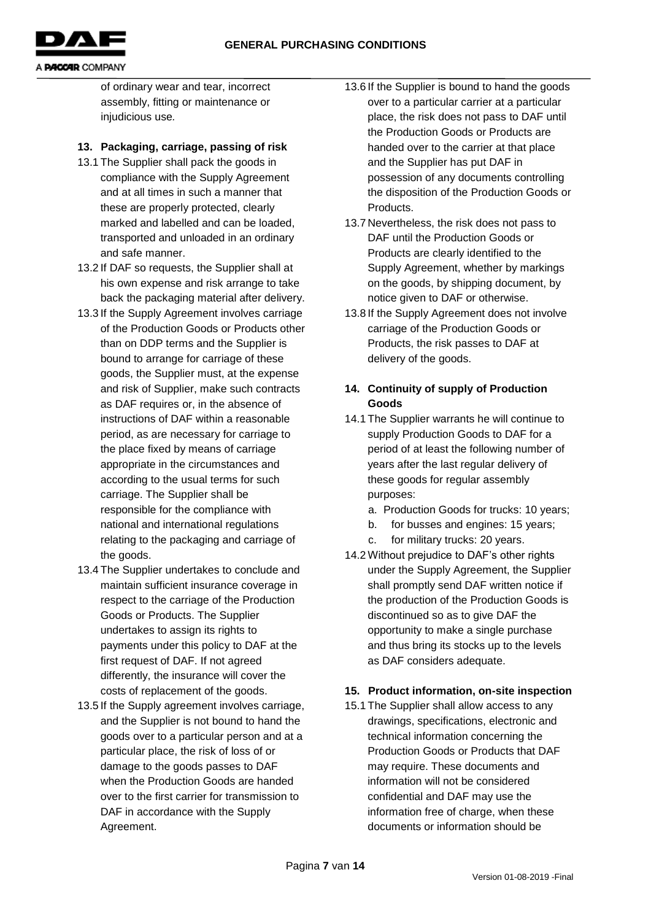

of ordinary wear and tear, incorrect assembly, fitting or maintenance or injudicious use*.*

# **13. Packaging, carriage, passing of risk**

- 13.1 The Supplier shall pack the goods in compliance with the Supply Agreement and at all times in such a manner that these are properly protected, clearly marked and labelled and can be loaded, transported and unloaded in an ordinary and safe manner.
- 13.2 If DAF so requests, the Supplier shall at his own expense and risk arrange to take back the packaging material after delivery.
- 13.3 If the Supply Agreement involves carriage of the Production Goods or Products other than on DDP terms and the Supplier is bound to arrange for carriage of these goods, the Supplier must, at the expense and risk of Supplier, make such contracts as DAF requires or, in the absence of instructions of DAF within a reasonable period, as are necessary for carriage to the place fixed by means of carriage appropriate in the circumstances and according to the usual terms for such carriage. The Supplier shall be responsible for the compliance with national and international regulations relating to the packaging and carriage of the goods.
- 13.4 The Supplier undertakes to conclude and maintain sufficient insurance coverage in respect to the carriage of the Production Goods or Products. The Supplier undertakes to assign its rights to payments under this policy to DAF at the first request of DAF. If not agreed differently, the insurance will cover the costs of replacement of the goods.
- 13.5 If the Supply agreement involves carriage, and the Supplier is not bound to hand the goods over to a particular person and at a particular place, the risk of loss of or damage to the goods passes to DAF when the Production Goods are handed over to the first carrier for transmission to DAF in accordance with the Supply Agreement.
- 13.6 If the Supplier is bound to hand the goods over to a particular carrier at a particular place, the risk does not pass to DAF until the Production Goods or Products are handed over to the carrier at that place and the Supplier has put DAF in possession of any documents controlling the disposition of the Production Goods or Products.
- 13.7 Nevertheless, the risk does not pass to DAF until the Production Goods or Products are clearly identified to the Supply Agreement, whether by markings on the goods, by shipping document, by notice given to DAF or otherwise.
- 13.8 If the Supply Agreement does not involve carriage of the Production Goods or Products, the risk passes to DAF at delivery of the goods.

# **14. Continuity of supply of Production Goods**

- 14.1 The Supplier warrants he will continue to supply Production Goods to DAF for a period of at least the following number of years after the last regular delivery of these goods for regular assembly purposes:
	- a. Production Goods for trucks: 10 years;
	- b. for busses and engines: 15 years;
	- c. for military trucks: 20 years.
- 14.2 Without prejudice to DAF's other rights under the Supply Agreement, the Supplier shall promptly send DAF written notice if the production of the Production Goods is discontinued so as to give DAF the opportunity to make a single purchase and thus bring its stocks up to the levels as DAF considers adequate.

# **15. Product information, on-site inspection**

15.1 The Supplier shall allow access to any drawings, specifications, electronic and technical information concerning the Production Goods or Products that DAF may require. These documents and information will not be considered confidential and DAF may use the information free of charge, when these documents or information should be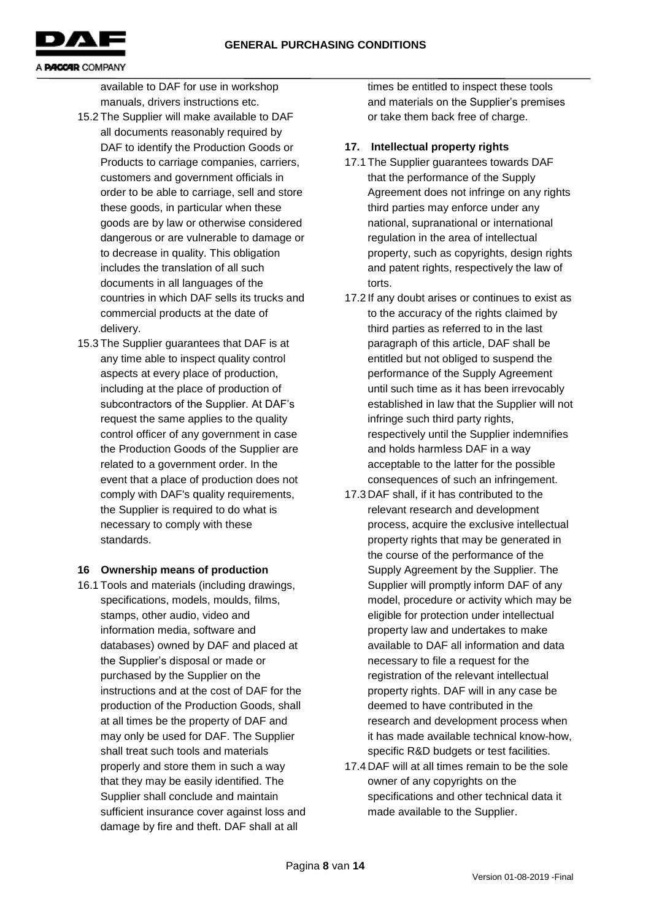

available to DAF for use in workshop manuals, drivers instructions etc.

- 15.2 The Supplier will make available to DAF all documents reasonably required by DAF to identify the Production Goods or Products to carriage companies, carriers, customers and government officials in order to be able to carriage, sell and store these goods, in particular when these goods are by law or otherwise considered dangerous or are vulnerable to damage or to decrease in quality. This obligation includes the translation of all such documents in all languages of the countries in which DAF sells its trucks and commercial products at the date of delivery.
- 15.3 The Supplier guarantees that DAF is at any time able to inspect quality control aspects at every place of production, including at the place of production of subcontractors of the Supplier. At DAF's request the same applies to the quality control officer of any government in case the Production Goods of the Supplier are related to a government order. In the event that a place of production does not comply with DAF's quality requirements, the Supplier is required to do what is necessary to comply with these standards.

### **16 Ownership means of production**

16.1 Tools and materials (including drawings, specifications, models, moulds, films, stamps, other audio, video and information media, software and databases) owned by DAF and placed at the Supplier's disposal or made or purchased by the Supplier on the instructions and at the cost of DAF for the production of the Production Goods, shall at all times be the property of DAF and may only be used for DAF. The Supplier shall treat such tools and materials properly and store them in such a way that they may be easily identified. The Supplier shall conclude and maintain sufficient insurance cover against loss and damage by fire and theft. DAF shall at all

times be entitled to inspect these tools and materials on the Supplier's premises or take them back free of charge.

### **17. Intellectual property rights**

- 17.1 The Supplier guarantees towards DAF that the performance of the Supply Agreement does not infringe on any rights third parties may enforce under any national, supranational or international regulation in the area of intellectual property, such as copyrights, design rights and patent rights, respectively the law of torts.
- 17.2 If any doubt arises or continues to exist as to the accuracy of the rights claimed by third parties as referred to in the last paragraph of this article, DAF shall be entitled but not obliged to suspend the performance of the Supply Agreement until such time as it has been irrevocably established in law that the Supplier will not infringe such third party rights, respectively until the Supplier indemnifies and holds harmless DAF in a way acceptable to the latter for the possible consequences of such an infringement.
- 17.3 DAF shall, if it has contributed to the relevant research and development process, acquire the exclusive intellectual property rights that may be generated in the course of the performance of the Supply Agreement by the Supplier. The Supplier will promptly inform DAF of any model, procedure or activity which may be eligible for protection under intellectual property law and undertakes to make available to DAF all information and data necessary to file a request for the registration of the relevant intellectual property rights. DAF will in any case be deemed to have contributed in the research and development process when it has made available technical know-how, specific R&D budgets or test facilities.
- 17.4 DAF will at all times remain to be the sole owner of any copyrights on the specifications and other technical data it made available to the Supplier.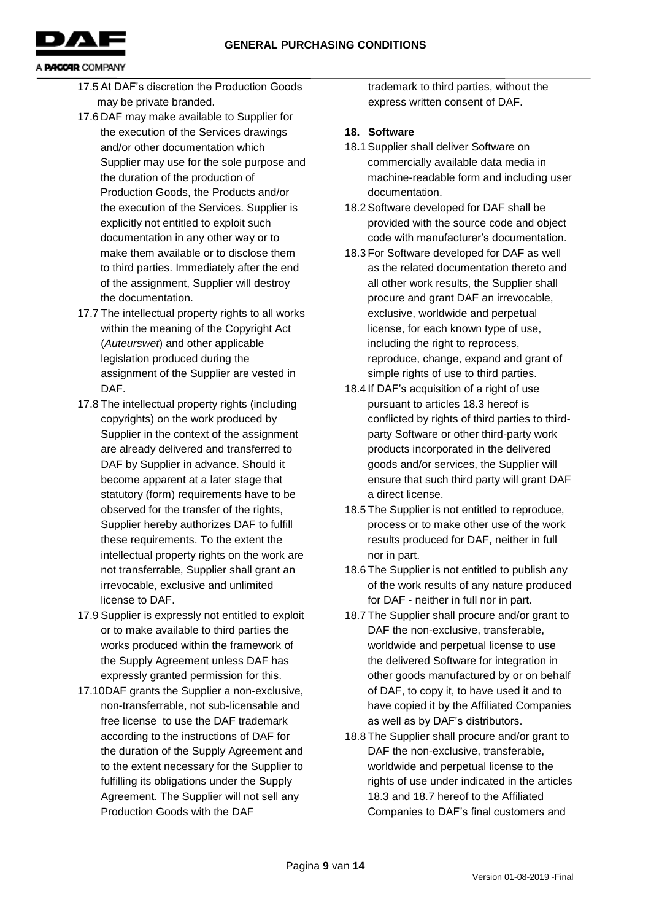**GENERAL PURCHASING CONDITIONS**



#### A **PACCAR** COMPANY

- 17.5 At DAF's discretion the Production Goods may be private branded.
- 17.6 DAF may make available to Supplier for the execution of the Services drawings and/or other documentation which Supplier may use for the sole purpose and the duration of the production of Production Goods, the Products and/or the execution of the Services. Supplier is explicitly not entitled to exploit such documentation in any other way or to make them available or to disclose them to third parties. Immediately after the end of the assignment, Supplier will destroy the documentation.
- 17.7 The intellectual property rights to all works within the meaning of the Copyright Act (*Auteurswet*) and other applicable legislation produced during the assignment of the Supplier are vested in DAF.
- 17.8 The intellectual property rights (including copyrights) on the work produced by Supplier in the context of the assignment are already delivered and transferred to DAF by Supplier in advance. Should it become apparent at a later stage that statutory (form) requirements have to be observed for the transfer of the rights, Supplier hereby authorizes DAF to fulfill these requirements. To the extent the intellectual property rights on the work are not transferrable, Supplier shall grant an irrevocable, exclusive and unlimited license to DAF.
- 17.9 Supplier is expressly not entitled to exploit or to make available to third parties the works produced within the framework of the Supply Agreement unless DAF has expressly granted permission for this.
- 17.10DAF grants the Supplier a non-exclusive, non-transferrable, not sub-licensable and free license to use the DAF trademark according to the instructions of DAF for the duration of the Supply Agreement and to the extent necessary for the Supplier to fulfilling its obligations under the Supply Agreement. The Supplier will not sell any Production Goods with the DAF

trademark to third parties, without the express written consent of DAF.

### **18. Software**

- 18**.**1 Supplier shall deliver Software on commercially available data media in machine-readable form and including user documentation.
- 18.2 Software developed for DAF shall be provided with the source code and object code with manufacturer's documentation.
- 18.3 For Software developed for DAF as well as the related documentation thereto and all other work results, the Supplier shall procure and grant DAF an irrevocable, exclusive, worldwide and perpetual license, for each known type of use, including the right to reprocess, reproduce, change, expand and grant of simple rights of use to third parties.
- 18.4 If DAF's acquisition of a right of use pursuant to articles 18.3 hereof is conflicted by rights of third parties to thirdparty Software or other third-party work products incorporated in the delivered goods and/or services, the Supplier will ensure that such third party will grant DAF a direct license.
- 18.5 The Supplier is not entitled to reproduce, process or to make other use of the work results produced for DAF, neither in full nor in part.
- 18.6 The Supplier is not entitled to publish any of the work results of any nature produced for DAF - neither in full nor in part.
- 18.7 The Supplier shall procure and/or grant to DAF the non-exclusive, transferable, worldwide and perpetual license to use the delivered Software for integration in other goods manufactured by or on behalf of DAF, to copy it, to have used it and to have copied it by the Affiliated Companies as well as by DAF's distributors.
- 18.8 The Supplier shall procure and/or grant to DAF the non-exclusive, transferable, worldwide and perpetual license to the rights of use under indicated in the articles 18.3 and 18.7 hereof to the Affiliated Companies to DAF's final customers and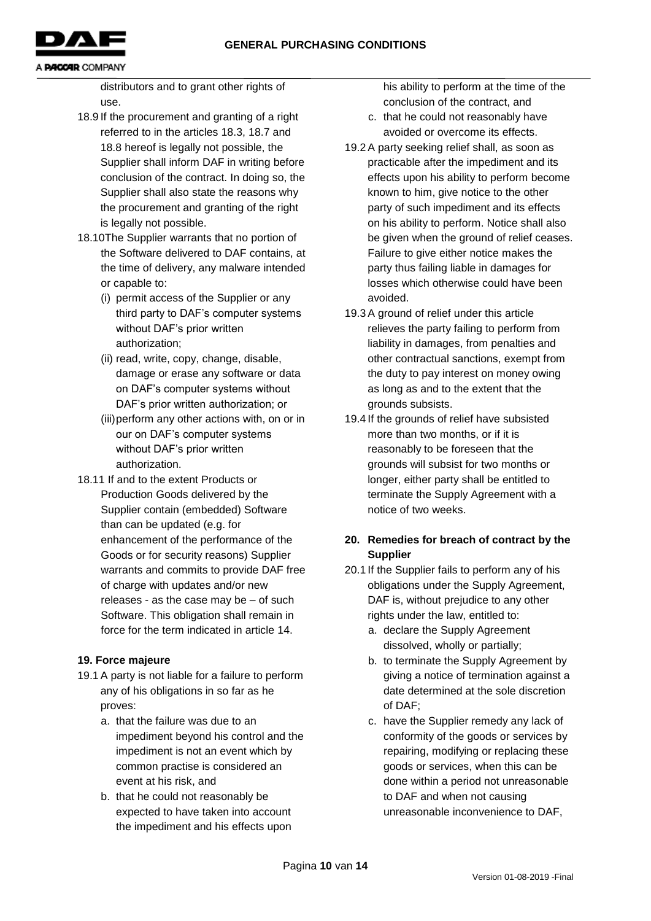

distributors and to grant other rights of use.

- 18.9 If the procurement and granting of a right referred to in the articles 18.3, 18.7 and 18.8 hereof is legally not possible, the Supplier shall inform DAF in writing before conclusion of the contract. In doing so, the Supplier shall also state the reasons why the procurement and granting of the right is legally not possible.
- 18.10The Supplier warrants that no portion of the Software delivered to DAF contains, at the time of delivery, any malware intended or capable to:
	- (i) permit access of the Supplier or any third party to DAF's computer systems without DAF's prior written authorization;
	- (ii) read, write, copy, change, disable, damage or erase any software or data on DAF's computer systems without DAF's prior written authorization; or
	- (iii)perform any other actions with, on or in our on DAF's computer systems without DAF's prior written authorization.
- 18.11 If and to the extent Products or Production Goods delivered by the Supplier contain (embedded) Software than can be updated (e.g. for enhancement of the performance of the Goods or for security reasons) Supplier warrants and commits to provide DAF free of charge with updates and/or new releases - as the case may be – of such Software. This obligation shall remain in force for the term indicated in article 14.

# **19. Force majeure**

- 19.1 A party is not liable for a failure to perform any of his obligations in so far as he proves:
	- a. that the failure was due to an impediment beyond his control and the impediment is not an event which by common practise is considered an event at his risk, and
	- b. that he could not reasonably be expected to have taken into account the impediment and his effects upon

his ability to perform at the time of the conclusion of the contract, and

- c. that he could not reasonably have avoided or overcome its effects.
- 19.2 A party seeking relief shall, as soon as practicable after the impediment and its effects upon his ability to perform become known to him, give notice to the other party of such impediment and its effects on his ability to perform. Notice shall also be given when the ground of relief ceases. Failure to give either notice makes the party thus failing liable in damages for losses which otherwise could have been avoided.
- 19.3 A ground of relief under this article relieves the party failing to perform from liability in damages, from penalties and other contractual sanctions, exempt from the duty to pay interest on money owing as long as and to the extent that the grounds subsists.
- 19.4 If the grounds of relief have subsisted more than two months, or if it is reasonably to be foreseen that the grounds will subsist for two months or longer, either party shall be entitled to terminate the Supply Agreement with a notice of two weeks.

# **20. Remedies for breach of contract by the Supplier**

- 20.1 If the Supplier fails to perform any of his obligations under the Supply Agreement, DAF is, without prejudice to any other rights under the law, entitled to:
	- a. declare the Supply Agreement dissolved, wholly or partially;
	- b. to terminate the Supply Agreement by giving a notice of termination against a date determined at the sole discretion of DAF;
	- c. have the Supplier remedy any lack of conformity of the goods or services by repairing, modifying or replacing these goods or services, when this can be done within a period not unreasonable to DAF and when not causing unreasonable inconvenience to DAF,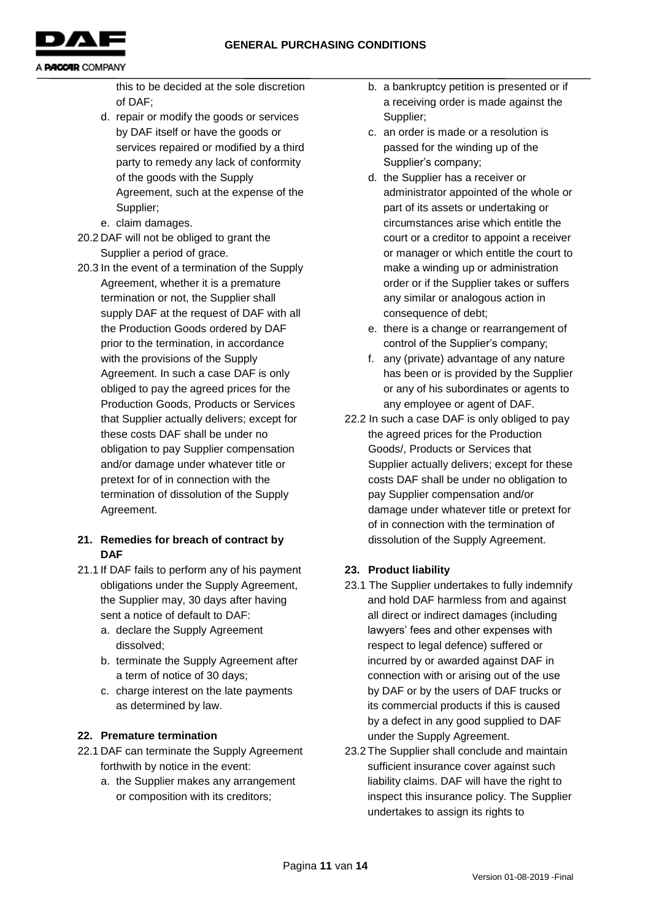**GENERAL PURCHASING CONDITIONS**



A **PACCAR** COMPANY

this to be decided at the sole discretion of DAF;

- d. repair or modify the goods or services by DAF itself or have the goods or services repaired or modified by a third party to remedy any lack of conformity of the goods with the Supply Agreement, such at the expense of the Supplier;
- e. claim damages.
- 20.2 DAF will not be obliged to grant the Supplier a period of grace.
- 20.3 In the event of a termination of the Supply Agreement, whether it is a premature termination or not, the Supplier shall supply DAF at the request of DAF with all the Production Goods ordered by DAF prior to the termination, in accordance with the provisions of the Supply Agreement. In such a case DAF is only obliged to pay the agreed prices for the Production Goods, Products or Services that Supplier actually delivers; except for these costs DAF shall be under no obligation to pay Supplier compensation and/or damage under whatever title or pretext for of in connection with the termination of dissolution of the Supply Agreement.

# **21. Remedies for breach of contract by DAF**

- 21.1 If DAF fails to perform any of his payment obligations under the Supply Agreement, the Supplier may, 30 days after having sent a notice of default to DAF:
	- a. declare the Supply Agreement dissolved;
	- b. terminate the Supply Agreement after a term of notice of 30 days;
	- c. charge interest on the late payments as determined by law.

# **22. Premature termination**

- 22.1 DAF can terminate the Supply Agreement forthwith by notice in the event:
	- a. the Supplier makes any arrangement or composition with its creditors;
- b. a bankruptcy petition is presented or if a receiving order is made against the Supplier;
- c. an order is made or a resolution is passed for the winding up of the Supplier's company;
- d. the Supplier has a receiver or administrator appointed of the whole or part of its assets or undertaking or circumstances arise which entitle the court or a creditor to appoint a receiver or manager or which entitle the court to make a winding up or administration order or if the Supplier takes or suffers any similar or analogous action in consequence of debt;
- e. there is a change or rearrangement of control of the Supplier's company;
- f. any (private) advantage of any nature has been or is provided by the Supplier or any of his subordinates or agents to any employee or agent of DAF.
- 22.2 In such a case DAF is only obliged to pay the agreed prices for the Production Goods/, Products or Services that Supplier actually delivers; except for these costs DAF shall be under no obligation to pay Supplier compensation and/or damage under whatever title or pretext for of in connection with the termination of dissolution of the Supply Agreement.

# **23. Product liability**

- 23.1 The Supplier undertakes to fully indemnify and hold DAF harmless from and against all direct or indirect damages (including lawyers' fees and other expenses with respect to legal defence) suffered or incurred by or awarded against DAF in connection with or arising out of the use by DAF or by the users of DAF trucks or its commercial products if this is caused by a defect in any good supplied to DAF under the Supply Agreement.
- 23.2 The Supplier shall conclude and maintain sufficient insurance cover against such liability claims. DAF will have the right to inspect this insurance policy. The Supplier undertakes to assign its rights to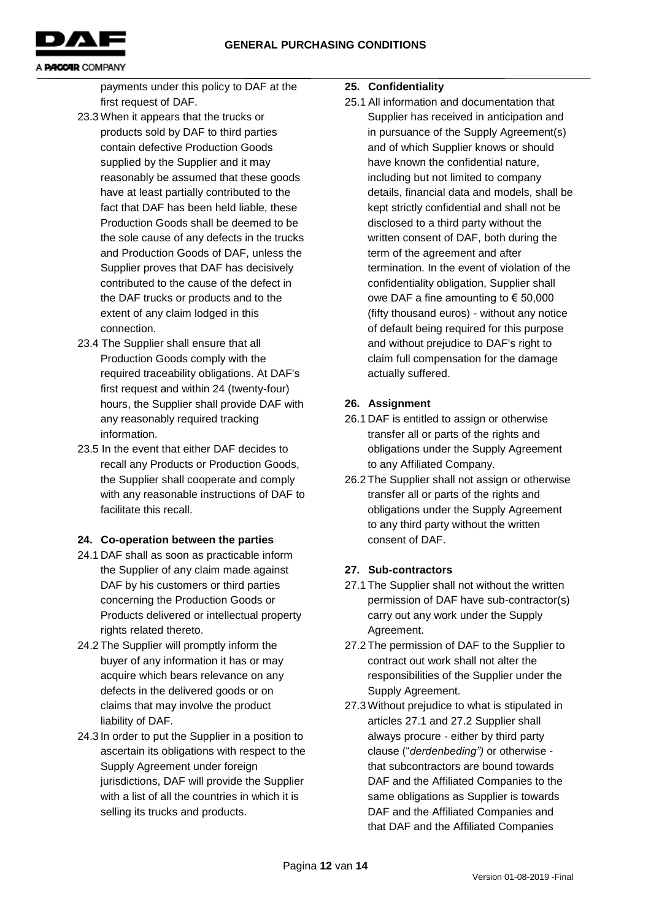

payments under this policy to DAF at the first request of DAF.

- 23.3 When it appears that the trucks or products sold by DAF to third parties contain defective Production Goods supplied by the Supplier and it may reasonably be assumed that these goods have at least partially contributed to the fact that DAF has been held liable, these Production Goods shall be deemed to be the sole cause of any defects in the trucks and Production Goods of DAF, unless the Supplier proves that DAF has decisively contributed to the cause of the defect in the DAF trucks or products and to the extent of any claim lodged in this connection.
- 23.4 The Supplier shall ensure that all Production Goods comply with the required traceability obligations. At DAF's first request and within 24 (twenty-four) hours, the Supplier shall provide DAF with any reasonably required tracking information.
- 23.5 In the event that either DAF decides to recall any Products or Production Goods, the Supplier shall cooperate and comply with any reasonable instructions of DAF to facilitate this recall.

# **24. Co-operation between the parties**

- 24.1 DAF shall as soon as practicable inform the Supplier of any claim made against DAF by his customers or third parties concerning the Production Goods or Products delivered or intellectual property rights related thereto.
- 24.2 The Supplier will promptly inform the buyer of any information it has or may acquire which bears relevance on any defects in the delivered goods or on claims that may involve the product liability of DAF.
- 24.3 In order to put the Supplier in a position to ascertain its obligations with respect to the Supply Agreement under foreign jurisdictions, DAF will provide the Supplier with a list of all the countries in which it is selling its trucks and products.

# **25. Confidentiality**

25.1 All information and documentation that Supplier has received in anticipation and in pursuance of the Supply Agreement(s) and of which Supplier knows or should have known the confidential nature, including but not limited to company details, financial data and models, shall be kept strictly confidential and shall not be disclosed to a third party without the written consent of DAF, both during the term of the agreement and after termination. In the event of violation of the confidentiality obligation, Supplier shall owe DAF a fine amounting to € 50,000 (fifty thousand euros) - without any notice of default being required for this purpose and without prejudice to DAF's right to claim full compensation for the damage actually suffered.

# **26. Assignment**

- 26.1 DAF is entitled to assign or otherwise transfer all or parts of the rights and obligations under the Supply Agreement to any Affiliated Company.
- 26.2 The Supplier shall not assign or otherwise transfer all or parts of the rights and obligations under the Supply Agreement to any third party without the written consent of DAF.

# **27. Sub-contractors**

- 27.1 The Supplier shall not without the written permission of DAF have sub-contractor(s) carry out any work under the Supply Agreement.
- 27.2 The permission of DAF to the Supplier to contract out work shall not alter the responsibilities of the Supplier under the Supply Agreement.
- 27.3 Without prejudice to what is stipulated in articles 27.1 and 27.2 Supplier shall always procure - either by third party clause ("*derdenbeding")* or otherwise that subcontractors are bound towards DAF and the Affiliated Companies to the same obligations as Supplier is towards DAF and the Affiliated Companies and that DAF and the Affiliated Companies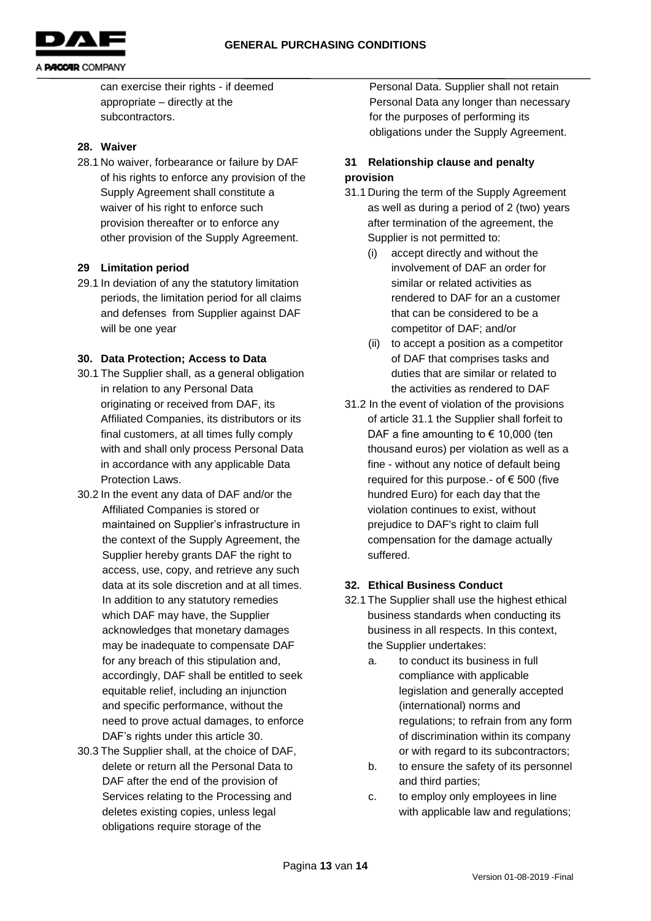

can exercise their rights - if deemed

appropriate – directly at the subcontractors.

# **28. Waiver**

28.1 No waiver, forbearance or failure by DAF of his rights to enforce any provision of the Supply Agreement shall constitute a waiver of his right to enforce such provision thereafter or to enforce any other provision of the Supply Agreement.

### **29 Limitation period**

29.1 In deviation of any the statutory limitation periods, the limitation period for all claims and defenses from Supplier against DAF will be one year

### **30. Data Protection; Access to Data**

- 30.1 The Supplier shall, as a general obligation in relation to any Personal Data originating or received from DAF, its Affiliated Companies, its distributors or its final customers, at all times fully comply with and shall only process Personal Data in accordance with any applicable Data Protection Laws.
- 30.2 In the event any data of DAF and/or the Affiliated Companies is stored or maintained on Supplier's infrastructure in the context of the Supply Agreement, the Supplier hereby grants DAF the right to access, use, copy, and retrieve any such data at its sole discretion and at all times. In addition to any statutory remedies which DAF may have, the Supplier acknowledges that monetary damages may be inadequate to compensate DAF for any breach of this stipulation and, accordingly, DAF shall be entitled to seek equitable relief, including an injunction and specific performance, without the need to prove actual damages, to enforce DAF's rights under this article 30.
- 30.3 The Supplier shall, at the choice of DAF, delete or return all the Personal Data to DAF after the end of the provision of Services relating to the Processing and deletes existing copies, unless legal obligations require storage of the

Personal Data. Supplier shall not retain Personal Data any longer than necessary for the purposes of performing its obligations under the Supply Agreement.

# **31 Relationship clause and penalty provision**

- 31.1 During the term of the Supply Agreement as well as during a period of 2 (two) years after termination of the agreement, the Supplier is not permitted to:
	- (i) accept directly and without the involvement of DAF an order for similar or related activities as rendered to DAF for an a customer that can be considered to be a competitor of DAF; and/or
	- (ii) to accept a position as a competitor of DAF that comprises tasks and duties that are similar or related to the activities as rendered to DAF
- 31.2 In the event of violation of the provisions of article 31.1 the Supplier shall forfeit to DAF a fine amounting to  $\epsilon$  10,000 (ten thousand euros) per violation as well as a fine - without any notice of default being required for this purpose.- of  $\epsilon$  500 (five hundred Euro) for each day that the violation continues to exist, without prejudice to DAF's right to claim full compensation for the damage actually suffered.

# **32. Ethical Business Conduct**

- 32.1 The Supplier shall use the highest ethical business standards when conducting its business in all respects. In this context, the Supplier undertakes:
	- a. to conduct its business in full compliance with applicable legislation and generally accepted (international) norms and regulations; to refrain from any form of discrimination within its company or with regard to its subcontractors;
	- b. to ensure the safety of its personnel and third parties;
	- c. to employ only employees in line with applicable law and regulations;